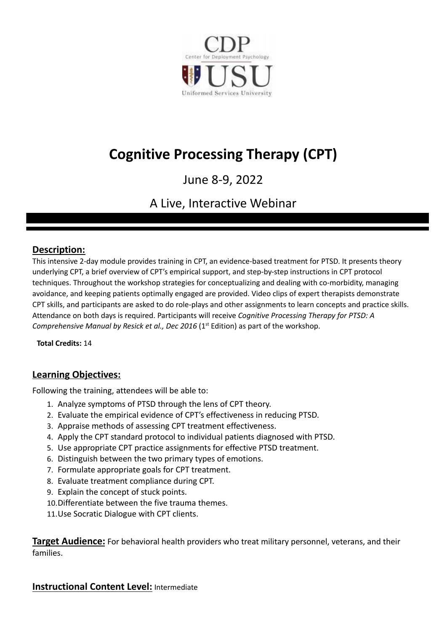

# **Cognitive Processing Therapy (CPT)**

## June 8-9, 2022

## A Live, Interactive Webinar

## **Description:**

This intensive 2-day module provides training in CPT, an evidence-based treatment for PTSD. It presents theory underlying CPT, a brief overview of CPT's empirical support, and step-by-step instructions in CPT protocol techniques. Throughout the workshop strategies for conceptualizing and dealing with co-morbidity, managing avoidance, and keeping patients optimally engaged are provided. Video clips of expert therapists demonstrate CPT skills, and participants are asked to do role-plays and other assignments to learn concepts and practice skills. Attendance on both days is required. Participants will receive *Cognitive Processing Therapy for PTSD: A Comprehensive Manual by Resick et al., Dec 2016* (1 st Edition) as part of the workshop.

**Total Credits:** 14

## **Learning Objectives:**

Following the training, attendees will be able to:

- 1. Analyze symptoms of PTSD through the lens of CPT theory.
- 2. Evaluate the empirical evidence of CPT's effectiveness in reducing PTSD.
- 3. Appraise methods of assessing CPT treatment effectiveness.
- 4. Apply the CPT standard protocol to individual patients diagnosed with PTSD.
- 5. Use appropriate CPT practice assignments for effective PTSD treatment.
- 6. Distinguish between the two primary types of emotions.
- 7. Formulate appropriate goals for CPT treatment.
- 8. Evaluate treatment compliance during CPT.
- 9. Explain the concept of stuck points.
- 10.Differentiate between the five trauma themes.
- 11.Use Socratic Dialogue with CPT clients.

**Target Audience:** For behavioral health providers who treat military personnel, veterans, and their families.

### **Instructional Content Level:** Intermediate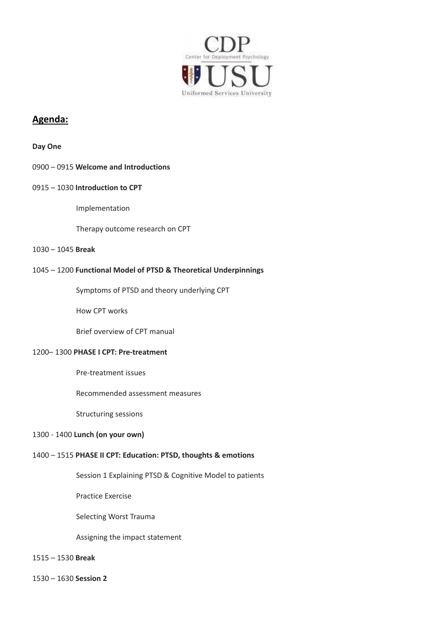

## **Agenda:**

#### **Day One**

#### 0900 – 0915 **Welcome and Introductions**

#### 0915 – 1030 **Introduction to CPT**

Implementation

Therapy outcome research on CPT

#### 1030 – 1045 **Break**

#### 1045 – 1200 **Functional Model of PTSD & Theoretical Underpinnings**

Symptoms of PTSD and theory underlying CPT

How CPT works

Brief overview of CPT manual

#### 1200– 1300 **PHASE I CPT: Pre-treatment**

Pre-treatment issues

Recommended assessment measures

Structuring sessions

#### 1300 - 1400 **Lunch (on your own)**

#### 1400 – 1515 **PHASE II CPT: Education: PTSD, thoughts & emotions**

Session 1 Explaining PTSD & Cognitive Model to patients

Practice Exercise

Selecting Worst Trauma

Assigning the impact statement

#### 1515 – 1530 **Break**

1530 – 1630 **Session 2**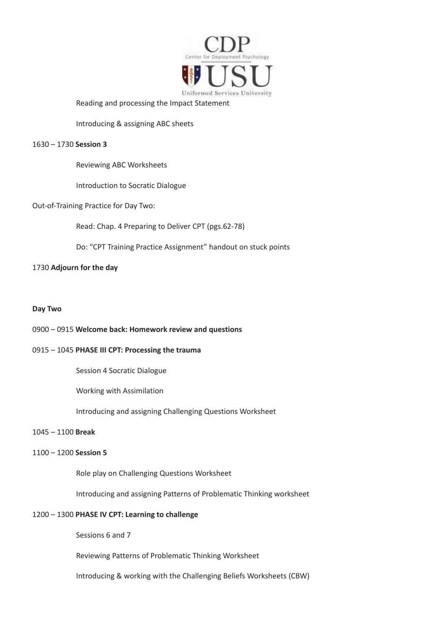

Reading and processing the Impact Statement

Introducing & assigning ABC sheets

#### 1630 – 1730 **Session 3**

Reviewing ABC Worksheets

Introduction to Socratic Dialogue

Out-of-Training Practice for Day Two:

Read: Chap. 4 Preparing to Deliver CPT (pgs.62-78)

Do: "CPT Training Practice Assignment" handout on stuck points

#### 1730 **Adjourn for the day**

#### **Day Two**

#### 0900 – 0915 **Welcome back: Homework review and questions**

#### 0915 – 1045 **PHASE III CPT: Processing the trauma**

Session 4 Socratic Dialogue

Working with Assimilation

Introducing and assigning Challenging Questions Worksheet

#### 1045 – 1100 **Break**

#### 1100 – 1200 **Session 5**

Role play on Challenging Questions Worksheet

Introducing and assigning Patterns of Problematic Thinking worksheet

#### 1200 – 1300 **PHASE IV CPT: Learning to challenge**

Sessions 6 and 7

Reviewing Patterns of Problematic Thinking Worksheet

Introducing & working with the Challenging Beliefs Worksheets (CBW)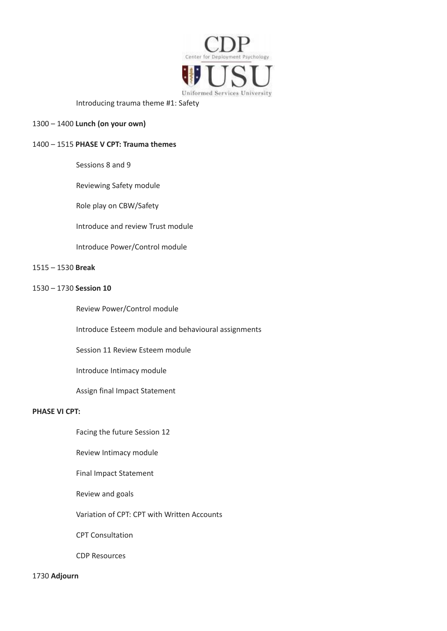

Introducing trauma theme #1: Safety

#### 1300 – 1400 **Lunch (on your own)**

#### 1400 – 1515 **PHASE V CPT: Trauma themes**

Sessions 8 and 9

Reviewing Safety module

Role play on CBW/Safety

Introduce and review Trust module

Introduce Power/Control module

#### 1515 – 1530 **Break**

#### 1530 – 1730 **Session 10**

Review Power/Control module

Introduce Esteem module and behavioural assignments

Session 11 Review Esteem module

Introduce Intimacy module

Assign final Impact Statement

#### **PHASE VI CPT:**

Facing the future Session 12

Review Intimacy module

Final Impact Statement

Review and goals

Variation of CPT: CPT with Written Accounts

CPT Consultation

CDP Resources

1730 **Adjourn**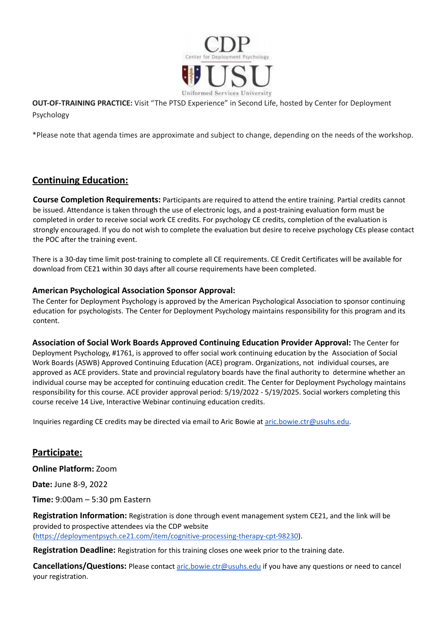

**OUT-OF-TRAINING PRACTICE:** Visit "The PTSD Experience" in Second Life, hosted by Center for Deployment Psychology

\*Please note that agenda times are approximate and subject to change, depending on the needs of the workshop.

## **Continuing Education:**

**Course Completion Requirements:** Participants are required to attend the entire training. Partial credits cannot be issued. Attendance is taken through the use of electronic logs, and a post-training evaluation form must be completed in order to receive social work CE credits. For psychology CE credits, completion of the evaluation is strongly encouraged. If you do not wish to complete the evaluation but desire to receive psychology CEs please contact the POC after the training event.

There is a 30-day time limit post-training to complete all CE requirements. CE Credit Certificates will be available for download from CE21 within 30 days after all course requirements have been completed.

#### **American Psychological Association Sponsor Approval:**

The Center for Deployment Psychology is approved by the American Psychological Association to sponsor continuing education for psychologists. The Center for Deployment Psychology maintains responsibility for this program and its content.

**Association of Social Work Boards Approved Continuing Education Provider Approval:** The Center for Deployment Psychology, #1761, is approved to offer social work continuing education by the Association of Social Work Boards (ASWB) Approved Continuing Education (ACE) program. Organizations, not individual courses, are approved as ACE providers. State and provincial regulatory boards have the final authority to determine whether an individual course may be accepted for continuing education credit. The Center for Deployment Psychology maintains responsibility for this course. ACE provider approval period: 5/19/2022 - 5/19/2025. Social workers completing this course receive 14 Live, Interactive Webinar continuing education credits.

Inquiries regarding CE credits may be directed via email to Aric Bowie at [aric.bowie.ctr@usuhs.edu.](mailto:aric.bowie.ctr@usuhs.edu)

## **Participate:**

**Online Platform:** Zoom

**Date:** June 8-9, 2022

**Time:** 9:00am – 5:30 pm Eastern

**Registration Information:** Registration is done through event management system CE21, and the link will be provided to prospective attendees via the CDP website [\(https://deploymentpsych.ce21.com/item/cognitive-processing-therapy-cpt-98230\)](https://deploymentpsych.ce21.com/item/cognitive-processing-therapy-cpt-98230).

**Registration Deadline:** Registration for this training closes one week prior to the training date.

**Cancellations/Questions:** Please contact [aric.bowie.ctr@usuhs.edu](mailto:aric.bowie.ctr@usuhs.edu) if you have any questions or need to cancel your registration.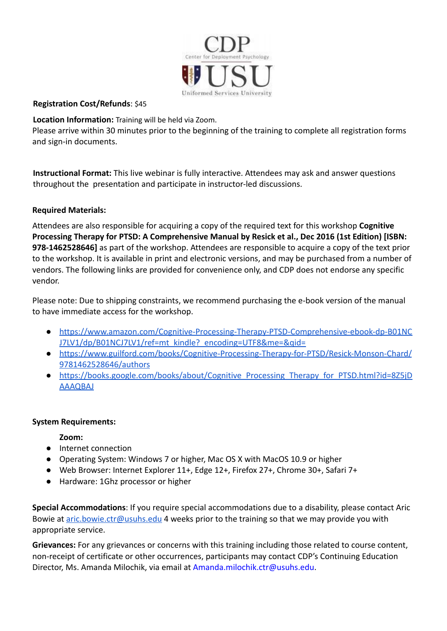

#### **Registration Cost/Refunds**: \$45

**Location Information:** Training will be held via Zoom.

Please arrive within 30 minutes prior to the beginning of the training to complete all registration forms and sign-in documents.

**Instructional Format:** This live webinar is fully interactive. Attendees may ask and answer questions throughout the presentation and participate in instructor-led discussions.

### **Required Materials:**

Attendees are also responsible for acquiring a copy of the required text for this workshop **Cognitive Processing Therapy for PTSD: A Comprehensive Manual by Resick et al., Dec 2016 (1st Edition) [ISBN: 978-1462528646]** as part of the workshop. Attendees are responsible to acquire a copy of the text prior to the workshop. It is available in print and electronic versions, and may be purchased from a number of vendors. The following links are provided for convenience only, and CDP does not endorse any specific vendor.

Please note: Due to shipping constraints, we recommend purchasing the e-book version of the manual to have immediate access for the workshop.

- [https://www.amazon.com/Cognitive-Processing-Therapy-PTSD-Comprehensive-ebook-dp-B01NC](https://www.amazon.com/Cognitive-Processing-Therapy-PTSD-Comprehensive-ebook-dp-B01NCJ7LV1/dp/B01NCJ7LV1/ref=mt_kindle?_encoding=UTF8&me=&qid=) J7LV1/dp/B01NCJ7LV1/ref=mt\_kindle? encoding=UTF8&me=&qid=
- [https://www.guilford.com/books/Cognitive-Processing-Therapy-for-PTSD/Resick-Monson-Chard/](https://www.guilford.com/books/Cognitive-Processing-Therapy-for-PTSD/Resick-Monson-Chard/9781462528646/authors) [9781462528646/authors](https://www.guilford.com/books/Cognitive-Processing-Therapy-for-PTSD/Resick-Monson-Chard/9781462528646/authors)
- https://books.google.com/books/about/Cognitive Processing Therapy for PTSD.html?id=8Z5jD [AAAQBAJ](https://books.google.com/books/about/Cognitive_Processing_Therapy_for_PTSD.html?id=8Z5jDAAAQBAJ)

#### **System Requirements:**

**Zoom:**

- Internet connection
- Operating System: Windows 7 or higher, Mac OS X with MacOS 10.9 or higher
- Web Browser: Internet Explorer 11+, Edge 12+, Firefox 27+, Chrome 30+, Safari 7+
- Hardware: 1Ghz processor or higher

**Special Accommodations**: If you require special accommodations due to a disability, please contact Aric Bowie at [aric.bowie.ctr@usuhs.edu](mailto:aric.bowie.ctr@usuhs.edu) 4 weeks prior to the training so that we may provide you with appropriate service.

**Grievances:** For any grievances or concerns with this training including those related to course content, non-receipt of certificate or other occurrences, participants may contact CDP's Continuing Education Director, Ms. Amanda Milochik, via email at [Amanda.milochik.ctr@usuhs.edu](mailto:Amanda.milochik.ctr@usuhs.edu).